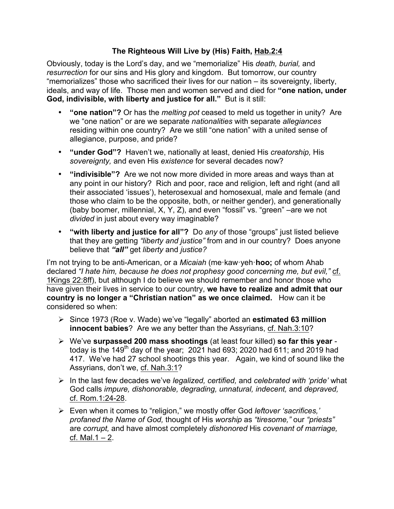## **The Righteous Will Live by (His) Faith, Hab.2:4**

Obviously, today is the Lord's day, and we "memorialize" His *death, burial,* and *resurrection* for our sins and His glory and kingdom. But tomorrow, our country "memorializes" those who sacrificed their lives for our nation – its sovereignty, liberty, ideals, and way of life. Those men and women served and died for **"one nation, under God, indivisible, with liberty and justice for all."** But is it still:

- **"one nation"?** Or has the *melting pot* ceased to meld us together in unity? Are we "one nation" or are we separate *nationalities* with separate *allegiances*  residing within one country? Are we still "one nation" with a united sense of allegiance, purpose, and pride?
- **"under God"?** Haven't we, nationally at least, denied His *creatorship,* His *sovereignty,* and even His *existence* for several decades now?
- **"indivisible"?** Are we not now more divided in more areas and ways than at any point in our history? Rich and poor, race and religion, left and right (and all their associated 'issues'), heterosexual and homosexual, male and female (and those who claim to be the opposite, both, or neither gender), and generationally (baby boomer, millennial, X, Y, Z), and even "fossil" vs. "green" –are we not *divided* in just about every way imaginable?
- **"with liberty and justice for all"?** Do *any* of those "groups" just listed believe that they are getting *"liberty and justice"* from and in our country? Does anyone believe that *"all"* get *liberty* and *justice?*

I'm not trying to be anti-American, or a *Micaiah* (me·kaw·yeh·**hoo;** of whom Ahab declared *"I hate him, because he does not prophesy good concerning me, but evil,"* cf. 1Kings 22:8ff), but although I do believe we should remember and honor those who have given their lives in service to our country, **we have to realize and admit that our country is no longer a "Christian nation" as we once claimed.** How can it be considered so when:

- Ø Since 1973 (Roe v. Wade) we've "legally" aborted an **estimated 63 million innocent babies**? Are we any better than the Assyrians, cf. Nah.3:10?
- Ø We've **surpassed 200 mass shootings** (at least four killed) **so far this year** today is the 149<sup>th</sup> day of the year; 2021 had 693; 2020 had 611; and 2019 had 417. We've had 27 school shootings this year. Again, we kind of sound like the Assyrians, don't we, cf. Nah.3:1?
- Ø In the last few decades we've *legalized, certified,* and *celebrated with 'pride'* what God calls *impure, dishonorable, degrading, unnatural, indecent,* and *depraved,*  cf. Rom.1:24-28.
- Ø Even when it comes to "religion," we mostly offer God *leftover 'sacrifices,' profaned the Name of God,* thought of His *worship* as *"tiresome,"* our *"priests"*  are *corrupt,* and have almost completely *dishonored* His *covenant of marriage,*  cf. Mal. $1 - 2$ .